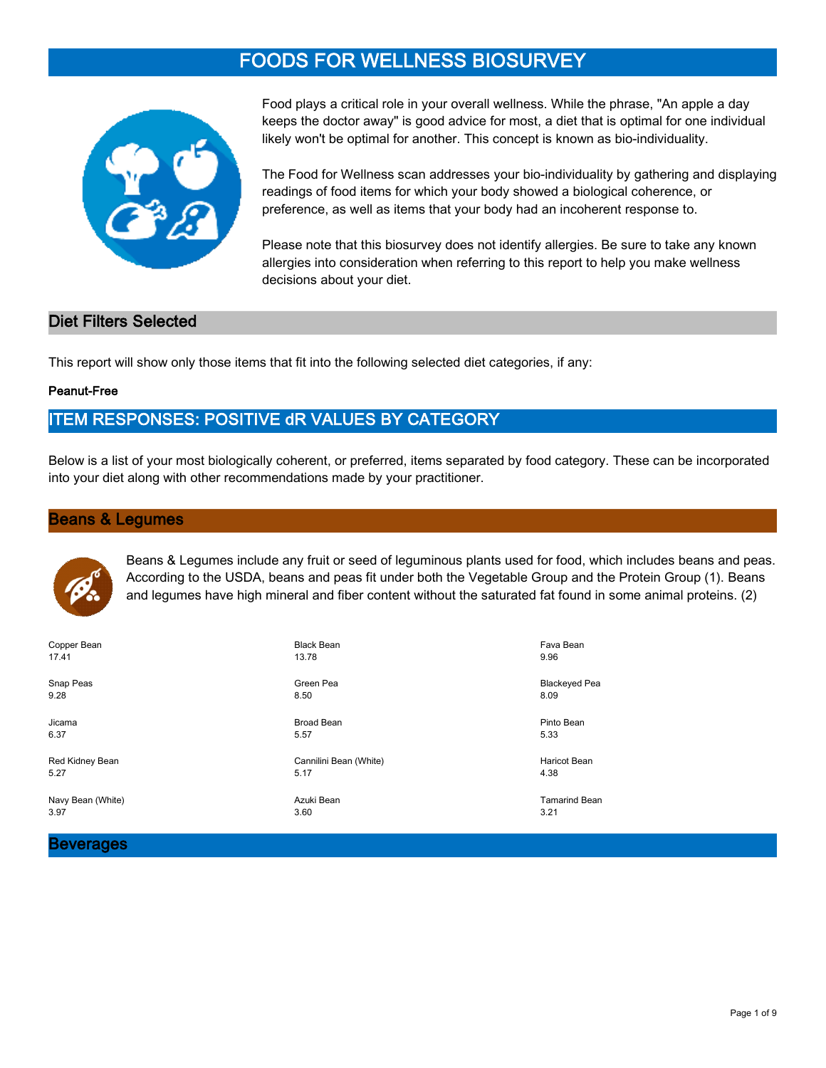# **FOODS FOR WELLNESS BIOSURVEY**



Food plays a critical role in your overall wellness. While the phrase, "An apple a day keeps the doctor away" is good advice for most, a diet that is optimal for one individual likely won't be optimal for another. This concept is known as bio-individuality.

The Food for Wellness scan addresses your bio-individuality by gathering and displaying readings of food items for which your body showed a biological coherence, or preference, as well as items that your body had an incoherent response to.

Please note that this biosurvey does not identify allergies. Be sure to take any known allergies into consideration when referring to this report to help you make wellness decisions about your diet.

#### **Diet Filters Selected**

This report will show only those items that fit into the following selected diet categories, if any:

#### **Peanut-Free**

## **ITEM RESPONSES: POSITIVE dR VALUES BY CATEGORY**

Below is a list of your most biologically coherent, or preferred, items separated by food category. These can be incorporated into your diet along with other recommendations made by your practitioner.

#### **Beans & Legumes**



Beans & Legumes include any fruit or seed of leguminous plants used for food, which includes beans and peas. According to the USDA, beans and peas fit under both the Vegetable Group and the Protein Group (1). Beans and legumes have high mineral and fiber content without the saturated fat found in some animal proteins. (2)

| Copper Bean       | <b>Black Bean</b>      | Fava Bean            |
|-------------------|------------------------|----------------------|
| 17.41             | 13.78                  | 9.96                 |
| Snap Peas         | Green Pea              | <b>Blackeyed Pea</b> |
| 9.28              | 8.50                   | 8.09                 |
| Jicama            | <b>Broad Bean</b>      | Pinto Bean           |
| 6.37              | 5.57                   | 5.33                 |
| Red Kidney Bean   | Cannilini Bean (White) | <b>Haricot Bean</b>  |
| 5.27              | 5.17                   | 4.38                 |
| Navy Bean (White) | Azuki Bean             | <b>Tamarind Bean</b> |
| 3.97              | 3.60                   | 3.21                 |

#### **Beverages**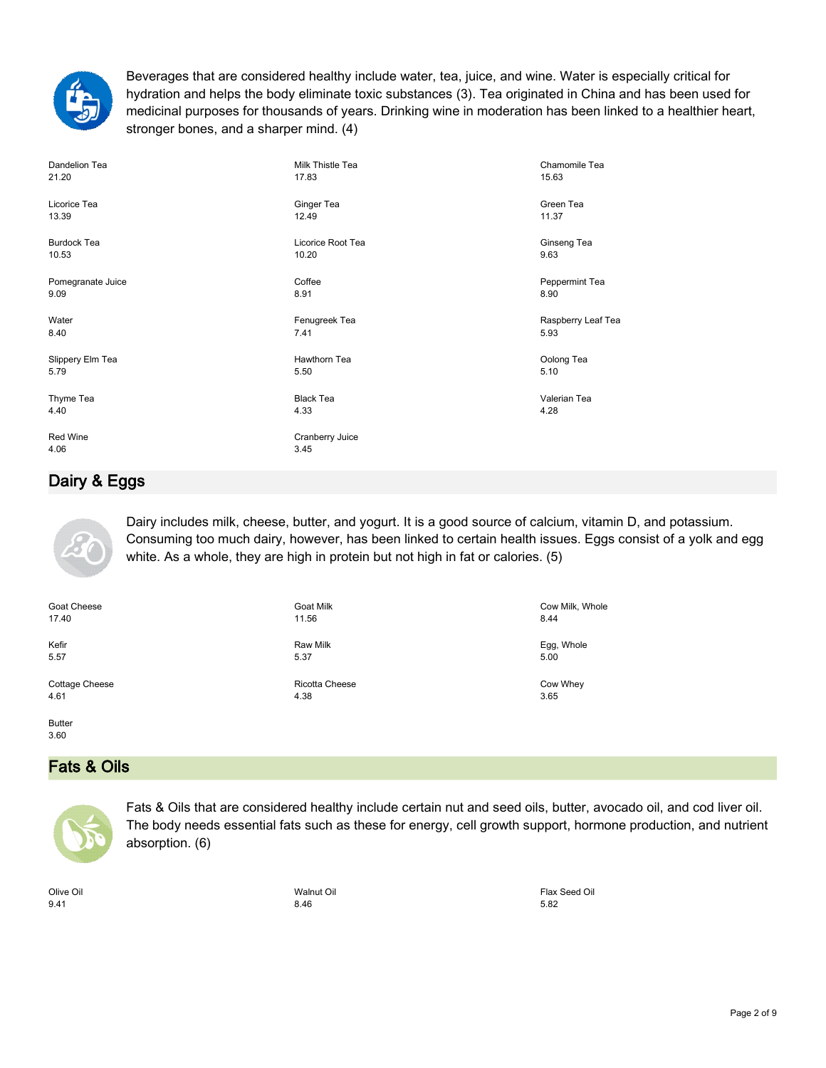

Beverages that are considered healthy include water, tea, juice, and wine. Water is especially critical for hydration and helps the body eliminate toxic substances (3). Tea originated in China and has been used for medicinal purposes for thousands of years. Drinking wine in moderation has been linked to a healthier heart, stronger bones, and a sharper mind. (4)

| Dandelion Tea      | Milk Thistle Tea        | Chamomile Tea      |
|--------------------|-------------------------|--------------------|
| 21.20              | 17.83                   | 15.63              |
| Licorice Tea       | Ginger Tea              | Green Tea          |
| 13.39              | 12.49                   | 11.37              |
| <b>Burdock Tea</b> | Licorice Root Tea       | Ginseng Tea        |
| 10.53              | 10.20                   | 9.63               |
| Pomegranate Juice  | Coffee                  | Peppermint Tea     |
| 9.09               | 8.91                    | 8.90               |
| Water              | Fenugreek Tea           | Raspberry Leaf Tea |
| 8.40               | 7.41                    | 5.93               |
| Slippery Elm Tea   | Hawthorn Tea            | Oolong Tea         |
| 5.79               | 5.50                    | 5.10               |
| Thyme Tea          | <b>Black Tea</b>        | Valerian Tea       |
| 4.40               | 4.33                    | 4.28               |
| Red Wine<br>4.06   | Cranberry Juice<br>3.45 |                    |

# **Dairy & Eggs**



Dairy includes milk, cheese, butter, and yogurt. It is a good source of calcium, vitamin D, and potassium. Consuming too much dairy, however, has been linked to certain health issues. Eggs consist of a yolk and egg white. As a whole, they are high in protein but not high in fat or calories. (5)

Goat Cheese 17.40

Kefir 5.57

Cottage Cheese 4.61

Butter 3.60

# **Fats & Oils**



Fats & Oils that are considered healthy include certain nut and seed oils, butter, avocado oil, and cod liver oil. The body needs essential fats such as these for energy, cell growth support, hormone production, and nutrient absorption. (6)

Olive Oil 9.41

Walnut Oil 8.46

Goat Milk 11.56

Raw Milk 5.37

Ricotta Cheese 4.38

> Flax Seed Oil 5.82

Cow Milk, Whole

Egg, Whole 5.00

Cow Whey 3.65

8.44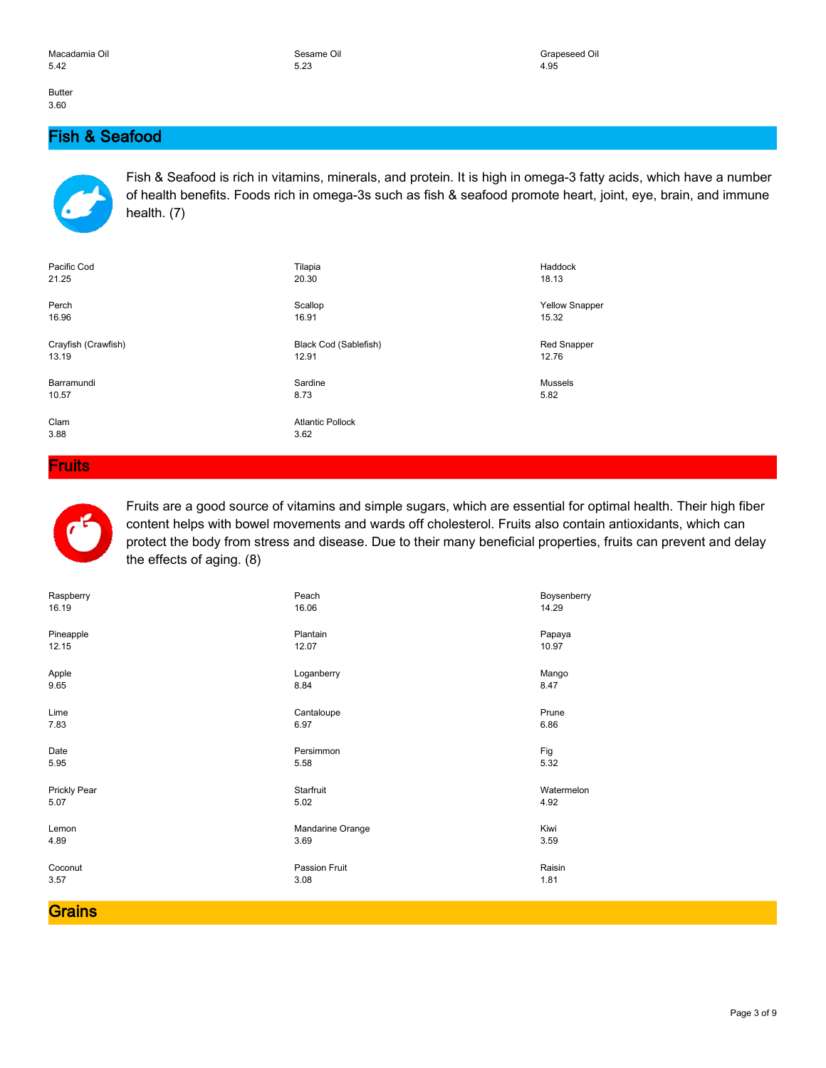Butter 3.60

## **Fish & Seafood**



Fish & Seafood is rich in vitamins, minerals, and protein. It is high in omega-3 fatty acids, which have a number of health benefits. Foods rich in omega-3s such as fish & seafood promote heart, joint, eye, brain, and immune health. (7)

| Pacific Cod         | Tilapia                 | Haddock               |
|---------------------|-------------------------|-----------------------|
| 21.25               | 20.30                   | 18.13                 |
| Perch               | Scallop                 | <b>Yellow Snapper</b> |
| 16.96               | 16.91                   | 15.32                 |
| Crayfish (Crawfish) | Black Cod (Sablefish)   | <b>Red Snapper</b>    |
| 13.19               | 12.91                   | 12.76                 |
| Barramundi          | Sardine                 | <b>Mussels</b>        |
| 10.57               | 8.73                    | 5.82                  |
| Clam                | <b>Atlantic Pollock</b> |                       |
| 3.88                | 3.62                    |                       |

**Fruits**



Fruits are a good source of vitamins and simple sugars, which are essential for optimal health. Their high fiber content helps with bowel movements and wards off cholesterol. Fruits also contain antioxidants, which can protect the body from stress and disease. Due to their many beneficial properties, fruits can prevent and delay the effects of aging. (8)

| Raspberry    | Peach            | Boysenberry |
|--------------|------------------|-------------|
| 16.19        | 16.06            | 14.29       |
| Pineapple    | Plantain         | Papaya      |
| 12.15        | 12.07            | 10.97       |
| Apple        | Loganberry       | Mango       |
| 9.65         | 8.84             | 8.47        |
| Lime         | Cantaloupe       | Prune       |
| 7.83         | 6.97             | 6.86        |
| Date         | Persimmon        | Fig         |
| 5.95         | 5.58             | 5.32        |
| Prickly Pear | Starfruit        | Watermelon  |
| 5.07         | 5.02             | 4.92        |
| Lemon        | Mandarine Orange | Kiwi        |
| 4.89         | 3.69             | 3.59        |
| Coconut      | Passion Fruit    | Raisin      |
| 3.57         | 3.08             | 1.81        |

**Grains**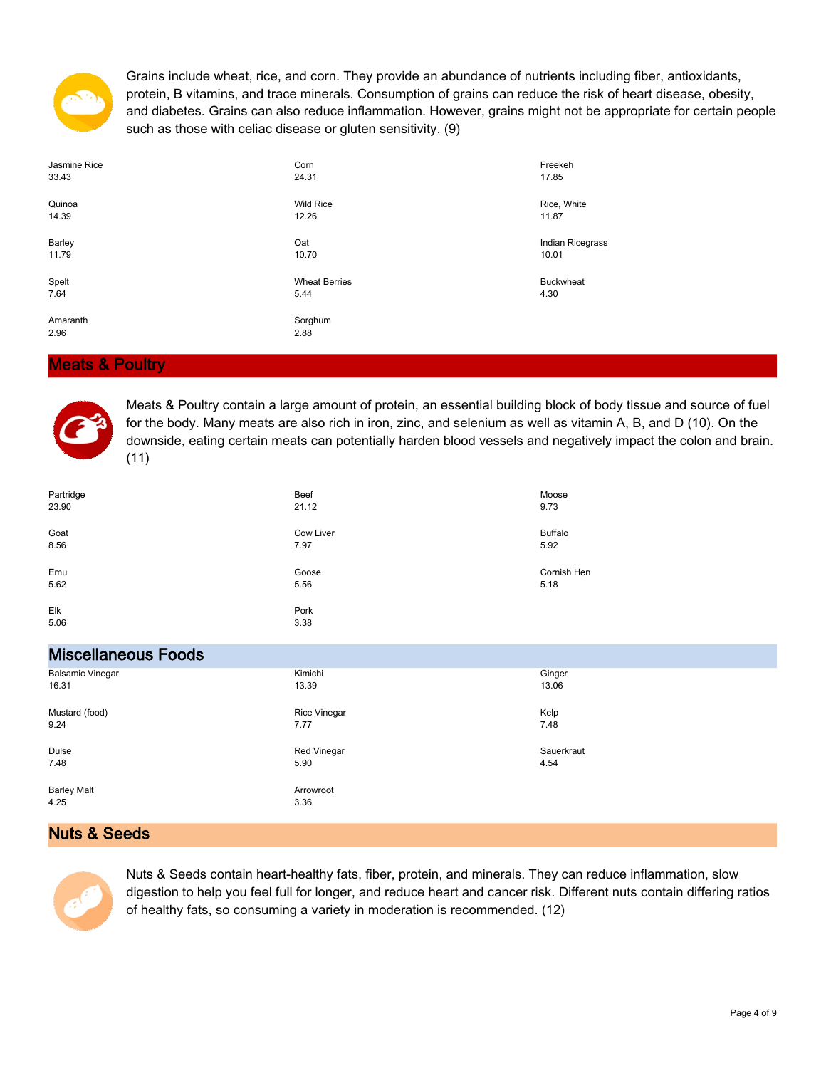

Grains include wheat, rice, and corn. They provide an abundance of nutrients including fiber, antioxidants, protein, B vitamins, and trace minerals. Consumption of grains can reduce the risk of heart disease, obesity, and diabetes. Grains can also reduce inflammation. However, grains might not be appropriate for certain people such as those with celiac disease or gluten sensitivity. (9)

| Jasmine Rice     | Corn                 | Freekeh          |
|------------------|----------------------|------------------|
| 33.43            | 24.31                | 17.85            |
| Quinoa           | <b>Wild Rice</b>     | Rice, White      |
| 14.39            | 12.26                | 11.87            |
| Barley           | Oat                  | Indian Ricegrass |
| 11.79            | 10.70                | 10.01            |
| Spelt            | <b>Wheat Berries</b> | <b>Buckwheat</b> |
| 7.64             | 5.44                 | 4.30             |
| Amaranth<br>2.96 | Sorghum<br>2.88      |                  |

#### **Meats & Poultry**



Meats & Poultry contain a large amount of protein, an essential building block of body tissue and source of fuel for the body. Many meats are also rich in iron, zinc, and selenium as well as vitamin A, B, and D (10). On the downside, eating certain meats can potentially harden blood vessels and negatively impact the colon and brain. (11)

| Partridge                  | Beef              | Moose          |
|----------------------------|-------------------|----------------|
| 23.90                      | 21.12             | 9.73           |
| Goat                       | Cow Liver         | <b>Buffalo</b> |
| 8.56                       | 7.97              | 5.92           |
| Emu                        | Goose             | Cornish Hen    |
| 5.62                       | 5.56              | 5.18           |
| Elk<br>5.06                | Pork<br>3.38      |                |
| <b>Miscellaneous Foods</b> |                   |                |
| <b>Balsamic Vinegar</b>    | Kimichi           | Ginger         |
| 16.31                      | 13.39             | 13.06          |
| Mustard (food)             | Rice Vinegar      | Kelp           |
| 9.24                       | 7.77              | 7.48           |
| Dulse                      | Red Vinegar       | Sauerkraut     |
| 7.48                       | 5.90              | 4.54           |
| <b>Barley Malt</b><br>4.25 | Arrowroot<br>3.36 |                |

#### **Nuts & Seeds**



Nuts & Seeds contain heart-healthy fats, fiber, protein, and minerals. They can reduce inflammation, slow digestion to help you feel full for longer, and reduce heart and cancer risk. Different nuts contain differing ratios of healthy fats, so consuming a variety in moderation is recommended. (12)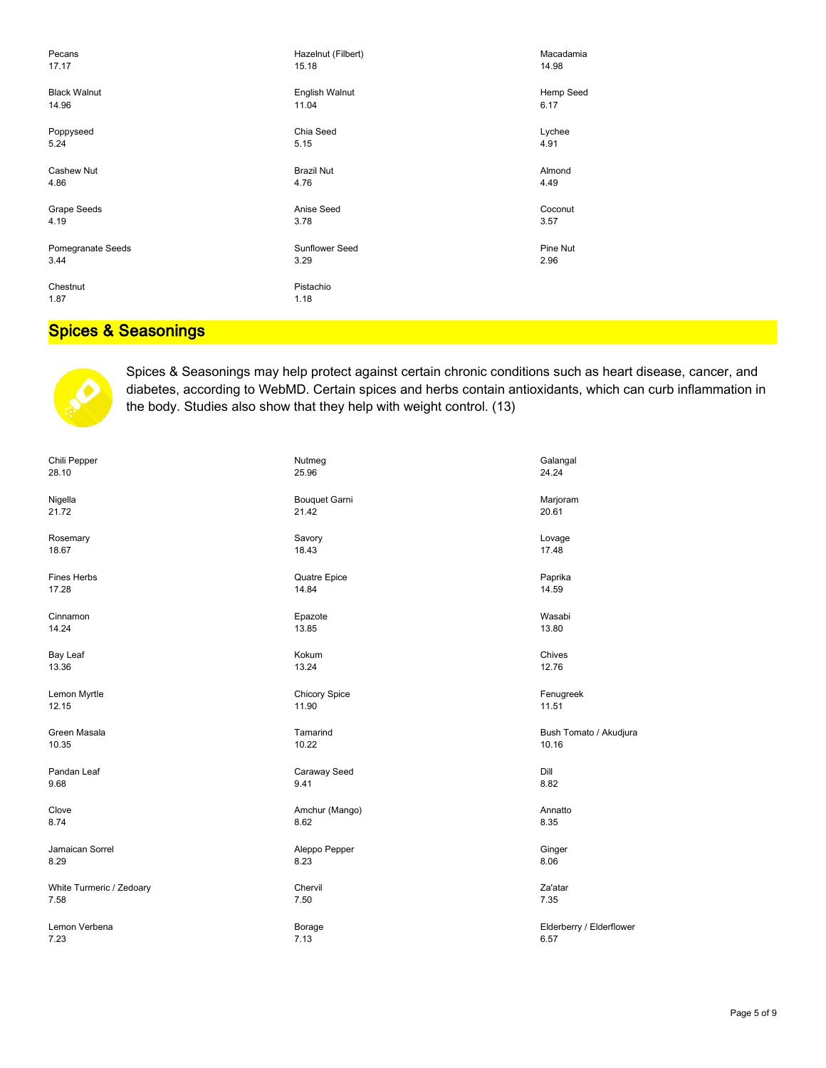| Pecans              | Hazelnut (Filbert) | Macadamia |
|---------------------|--------------------|-----------|
| 17.17               | 15.18              | 14.98     |
| <b>Black Walnut</b> | English Walnut     | Hemp Seed |
| 14.96               | 11.04              | 6.17      |
| Poppyseed           | Chia Seed          | Lychee    |
| 5.24                | 5.15               | 4.91      |
| Cashew Nut          | <b>Brazil Nut</b>  | Almond    |
| 4.86                | 4.76               | 4.49      |
| Grape Seeds         | Anise Seed         | Coconut   |
| 4.19                | 3.78               | 3.57      |
| Pomegranate Seeds   | Sunflower Seed     | Pine Nut  |
| 3.44                | 3.29               | 2.96      |
| Chestnut<br>1.87    | Pistachio<br>1.18  |           |

# **Spices & Seasonings**



Spices & Seasonings may help protect against certain chronic conditions such as heart disease, cancer, and diabetes, according to WebMD. Certain spices and herbs contain antioxidants, which can curb inflammation in the body. Studies also show that they help with weight control. (13)

| Chili Pepper             | Nutmeg               | Galangal                 |
|--------------------------|----------------------|--------------------------|
| 28.10                    | 25.96                | 24.24                    |
| Nigella                  | <b>Bouquet Garni</b> | Marjoram                 |
| 21.72                    | 21.42                | 20.61                    |
| Rosemary                 | Savory               | Lovage                   |
| 18.67                    | 18.43                | 17.48                    |
| <b>Fines Herbs</b>       | Quatre Epice         | Paprika                  |
| 17.28                    | 14.84                | 14.59                    |
| Cinnamon                 | Epazote              | Wasabi                   |
| 14.24                    | 13.85                | 13.80                    |
| Bay Leaf                 | Kokum                | Chives                   |
| 13.36                    | 13.24                | 12.76                    |
| Lemon Myrtle             | <b>Chicory Spice</b> | Fenugreek                |
| 12.15                    | 11.90                | 11.51                    |
| Green Masala             | Tamarind             | Bush Tomato / Akudjura   |
| 10.35                    | 10.22                | 10.16                    |
| Pandan Leaf              | Caraway Seed         | Dill                     |
| 9.68                     | 9.41                 | 8.82                     |
| Clove                    | Amchur (Mango)       | Annatto                  |
| 8.74                     | 8.62                 | 8.35                     |
| Jamaican Sorrel          | Aleppo Pepper        | Ginger                   |
| 8.29                     | 8.23                 | 8.06                     |
| White Turmeric / Zedoary | Chervil              | Za'atar                  |
| 7.58                     | 7.50                 | 7.35                     |
| Lemon Verbena            | Borage               | Elderberry / Elderflower |
| 7.23                     | 7.13                 | 6.57                     |
|                          |                      |                          |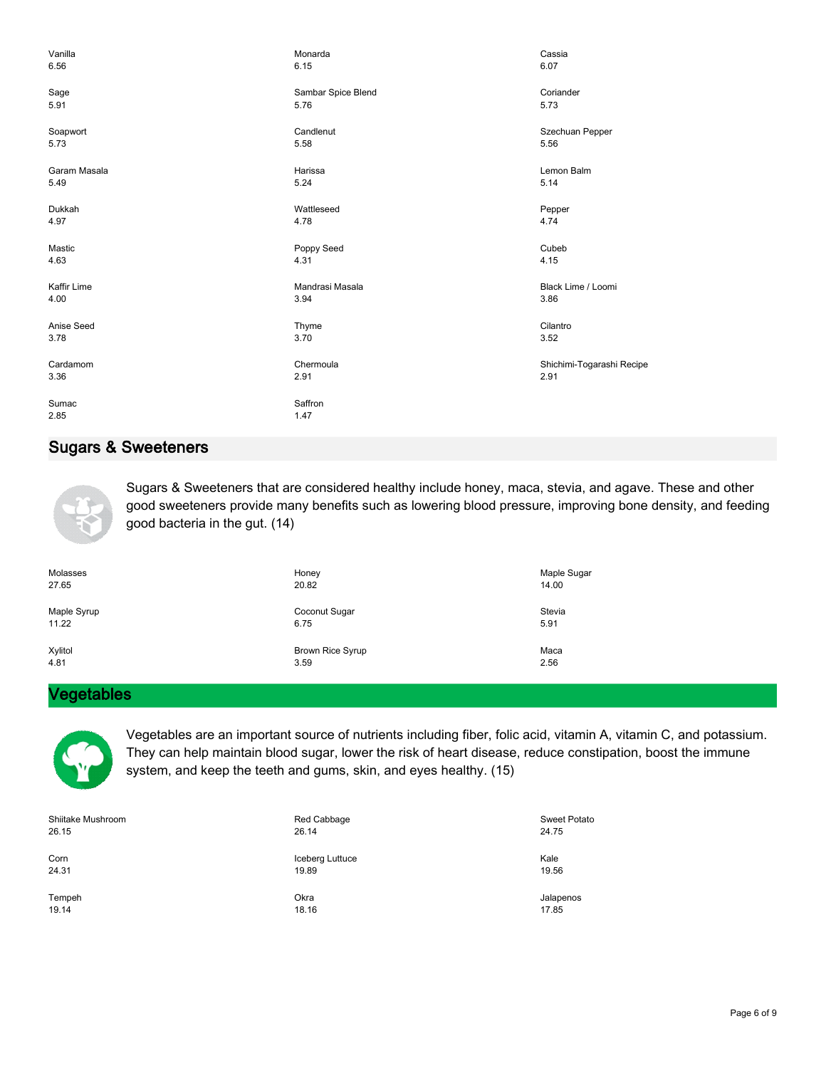| Vanilla       | Monarda            | Cassia                    |
|---------------|--------------------|---------------------------|
| 6.56          | 6.15               | 6.07                      |
| Sage          | Sambar Spice Blend | Coriander                 |
| 5.91          | 5.76               | 5.73                      |
| Soapwort      | Candlenut          | Szechuan Pepper           |
| 5.73          | 5.58               | 5.56                      |
| Garam Masala  | Harissa            | Lemon Balm                |
| 5.49          | 5.24               | 5.14                      |
| Dukkah        | Wattleseed         | Pepper                    |
| 4.97          | 4.78               | 4.74                      |
| Mastic        | Poppy Seed         | Cubeb                     |
| 4.63          | 4.31               | 4.15                      |
| Kaffir Lime   | Mandrasi Masala    | Black Lime / Loomi        |
| 4.00          | 3.94               | 3.86                      |
| Anise Seed    | Thyme              | Cilantro                  |
| 3.78          | 3.70               | 3.52                      |
| Cardamom      | Chermoula          | Shichimi-Togarashi Recipe |
| 3.36          | 2.91               | 2.91                      |
| Sumac<br>2.85 | Saffron<br>1.47    |                           |

# **Sugars & Sweeteners**



Sugars & Sweeteners that are considered healthy include honey, maca, stevia, and agave. These and other good sweeteners provide many benefits such as lowering blood pressure, improving bone density, and feeding good bacteria in the gut. (14)

| Molasses    | Honey                   | Maple Sugar |
|-------------|-------------------------|-------------|
| 27.65       | 20.82                   | 14.00       |
| Maple Syrup | Coconut Sugar           | Stevia      |
| 11.22       | 6.75                    | 5.91        |
| Xylitol     | <b>Brown Rice Syrup</b> | Maca        |
| 4.81        | 3.59                    | 2.56        |

#### **Vegetables**



Vegetables are an important source of nutrients including fiber, folic acid, vitamin A, vitamin C, and potassium. They can help maintain blood sugar, lower the risk of heart disease, reduce constipation, boost the immune system, and keep the teeth and gums, skin, and eyes healthy. (15)

| Shiitake Mushroom | Red Cabbage     | Sweet Potato |
|-------------------|-----------------|--------------|
| 26.15             | 26.14           | 24.75        |
| Corn              | Iceberg Luttuce | Kale         |
| 24.31             | 19.89           | 19.56        |
| Tempeh            | Okra            | Jalapenos    |
| 19.14             | 18.16           | 17.85        |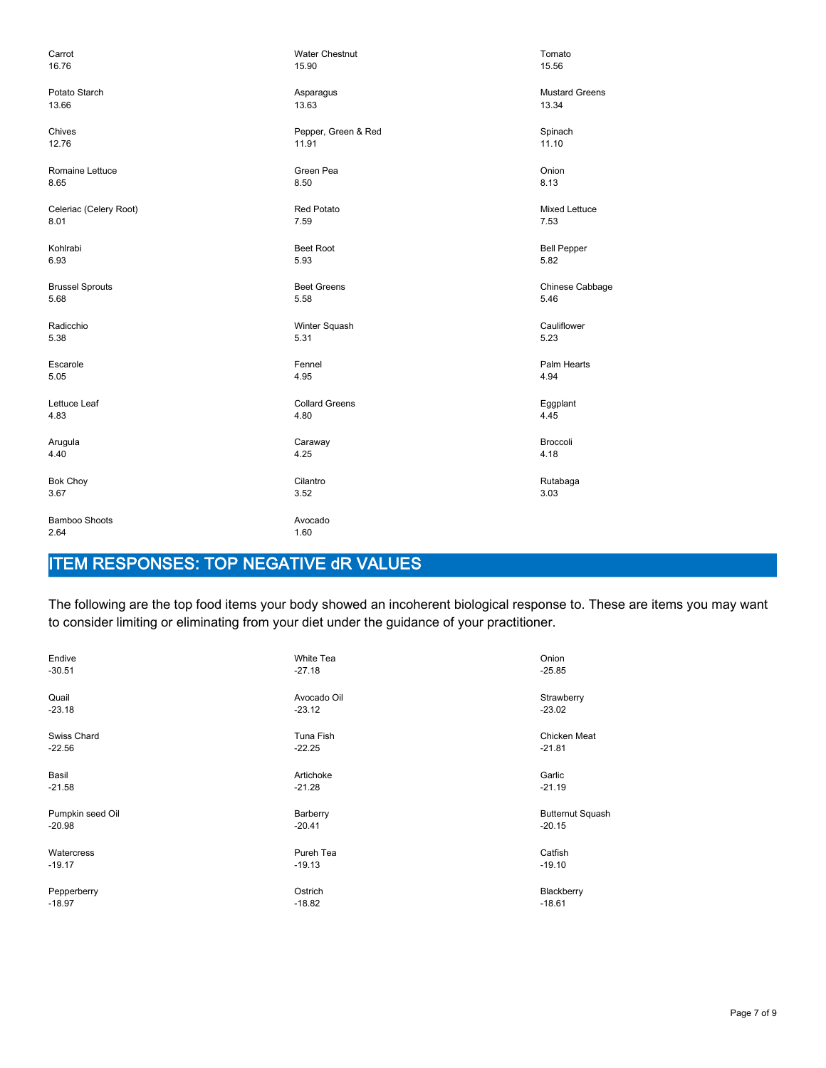| Carrot                       | <b>Water Chestnut</b> | Tomato                |
|------------------------------|-----------------------|-----------------------|
| 16.76                        | 15.90                 | 15.56                 |
| Potato Starch                | Asparagus             | <b>Mustard Greens</b> |
| 13.66                        | 13.63                 | 13.34                 |
| Chives                       | Pepper, Green & Red   | Spinach               |
| 12.76                        | 11.91                 | 11.10                 |
| Romaine Lettuce              | Green Pea             | Onion                 |
| 8.65                         | 8.50                  | 8.13                  |
| Celeriac (Celery Root)       | <b>Red Potato</b>     | Mixed Lettuce         |
| 8.01                         | 7.59                  | 7.53                  |
| Kohlrabi                     | <b>Beet Root</b>      | <b>Bell Pepper</b>    |
| 6.93                         | 5.93                  | 5.82                  |
| <b>Brussel Sprouts</b>       | <b>Beet Greens</b>    | Chinese Cabbage       |
| 5.68                         | 5.58                  | 5.46                  |
| Radicchio                    | Winter Squash         | Cauliflower           |
| 5.38                         | 5.31                  | 5.23                  |
| Escarole                     | Fennel                | Palm Hearts           |
| 5.05                         | 4.95                  | 4.94                  |
| Lettuce Leaf                 | <b>Collard Greens</b> | Eggplant              |
| 4.83                         | 4.80                  | 4.45                  |
| Arugula                      | Caraway               | Broccoli              |
| 4.40                         | 4.25                  | 4.18                  |
| <b>Bok Choy</b>              | Cilantro              | Rutabaga              |
| 3.67                         | 3.52                  | 3.03                  |
| <b>Bamboo Shoots</b><br>2.64 | Avocado<br>1.60       |                       |

# **ITEM RESPONSES: TOP NEGATIVE dR VALUES**

The following are the top food items your body showed an incoherent biological response to. These are items you may want to consider limiting or eliminating from your diet under the guidance of your practitioner.

| Endive           | White Tea   | Onion                   |
|------------------|-------------|-------------------------|
| $-30.51$         | $-27.18$    | $-25.85$                |
| Quail            | Avocado Oil | Strawberry              |
| $-23.18$         | $-23.12$    | $-23.02$                |
| Swiss Chard      | Tuna Fish   | Chicken Meat            |
| $-22.56$         | $-22.25$    | $-21.81$                |
| Basil            | Artichoke   | Garlic                  |
| $-21.58$         | $-21.28$    | $-21.19$                |
| Pumpkin seed Oil | Barberry    | <b>Butternut Squash</b> |
| $-20.98$         | $-20.41$    | $-20.15$                |
| Watercress       | Pureh Tea   | Catfish                 |
| $-19.17$         | $-19.13$    | $-19.10$                |
| Pepperberry      | Ostrich     | Blackberry              |
| $-18.97$         | $-18.82$    | $-18.61$                |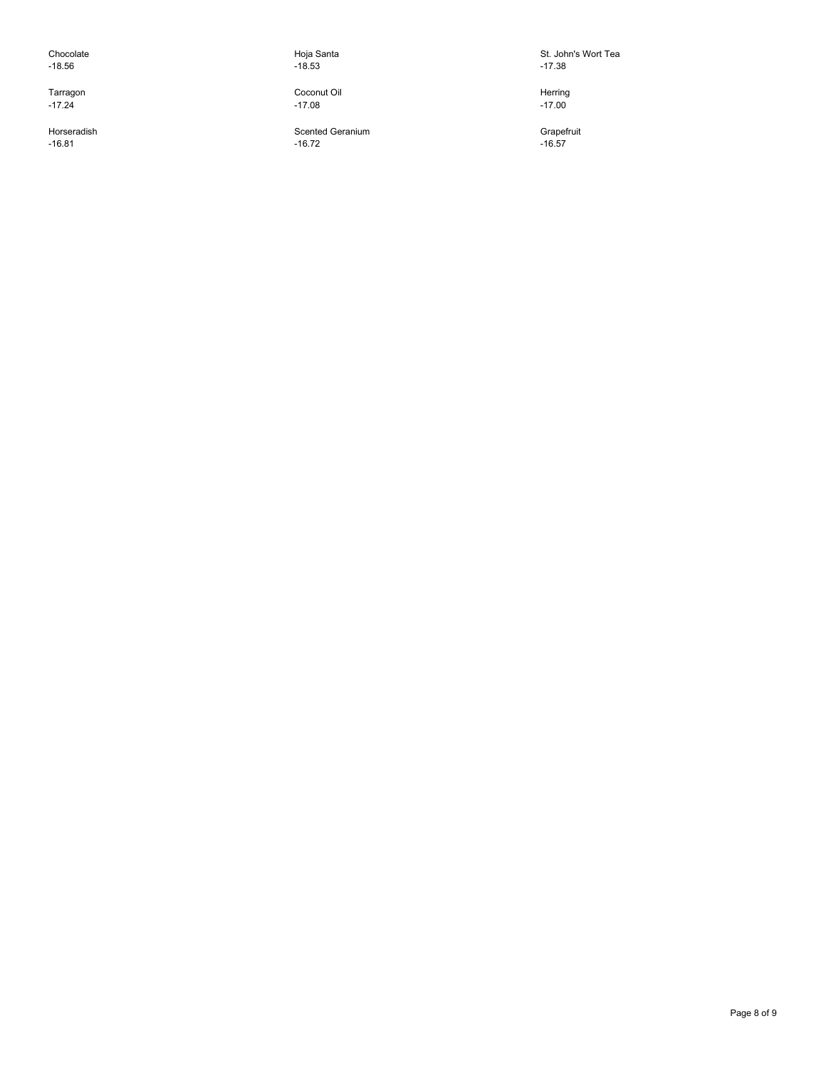Chocolate -18.56

Tarragon  $-17.24$ 

Horseradish -16.81

Hoja Santa -18.53

Coconut Oil -17.08

Scented Geranium  $-16.72$ 

St. John's Wort Tea -17.38

Herring  $-17.00$ 

**Grapefruit** -16.57